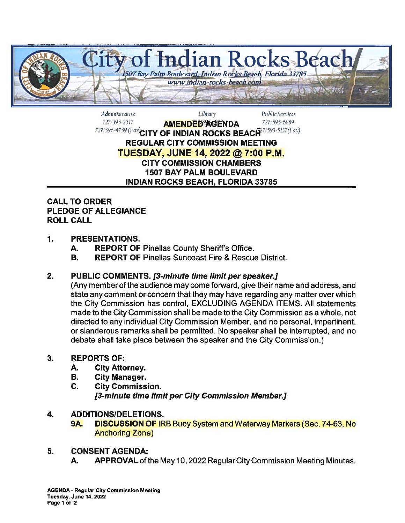

Admu1isrrarivc *Ubrwy Public* Services 727/595-2517 **AMENDED<sup>5</sup>AGENDA** 727/595-6889 727/596-4759(Fax)**CITY OF INDIAN ROCKS BEACI4**77/593-5137(Fax) **REGULAR CITY COMMISSION MEETING TUESDAY, JUNE 14, 2022@ 7:00 P.M. CITY COMMISSION CHAMBERS 1507 BAY PALM BOULEVARD INDIAN ROCKS BEACH, FLORIDA 33785** 

## **CALL TO ORDER PLEDGE OF ALLEGIANCE ROLL CALL**

# **1. PRESENTATIONS.**

- **A. REPORT OF Pinellas County Sheriff's Office.**
- **B.** REPORT OF Pinellas Suncoast Fire & Rescue District.

## **2. PUBLIC COMMENTS. {3-minute time limit per speaker.]**

(Any member of the audience may come forward, give their name and address, and state any comment or concern that they may have regarding any matter over which the City Commission has control, EXCLUDING AGENDA ITEMS. All statements made to the City Commission shall be made to the City Commission as a whole, not directed to any individual City Commission Member, and no personal, impertinent, or slanderous remarks shall be permitted. No speaker shall be interrupted, and no debate shall take place between the speaker and the City Commission.)

## **3. REPORTS OF:**

- **A. City Attorney.**
- **B. City Manager.**
- **C. City Commission. [3-minute time limit per City Commission Member.]**

## **4. ADDITIONS/DELETIONS.**

**9A. DISCUSSION OF IRB Buoy System and Waterway Markers (Sec. 74-63, No.** Anchoring Zone)

## **5. CONSENT AGENDA:**

A. APPROVAL of the May 10, 2022 Regular City Commission Meeting Minutes.